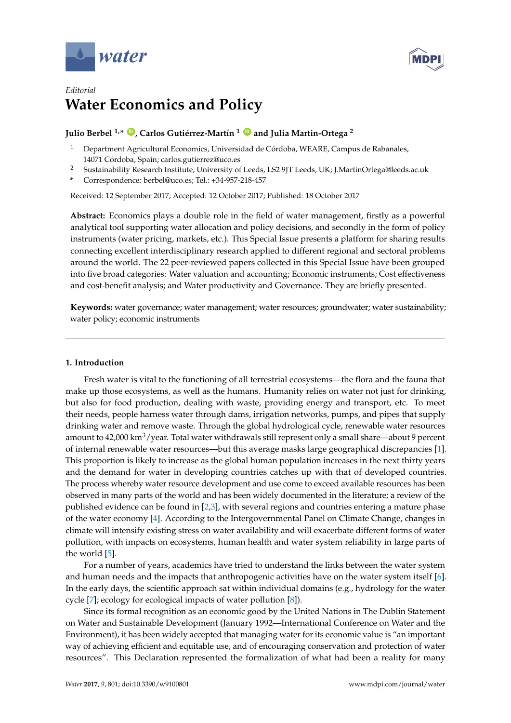



# *Editorial* **Water Economics and Policy**

# **Julio Berbel 1,\* [ID](https://orcid.org/0000-0001-6483-4483) , Carlos Gutiérrez-Martín <sup>1</sup> [ID](https://orcid.org/0000-0002-4067-8807) and Julia Martin-Ortega <sup>2</sup>**

- <sup>1</sup> Department Agricultural Economics, Universidad de Córdoba, WEARE, Campus de Rabanales, 14071 Córdoba, Spain; carlos.gutierrez@uco.es
- <sup>2</sup> Sustainability Research Institute, University of Leeds, LS2 9JT Leeds, UK; J.MartinOrtega@leeds.ac.uk
- **\*** Correspondence: berbel@uco.es; Tel.: +34-957-218-457

Received: 12 September 2017; Accepted: 12 October 2017; Published: 18 October 2017

**Abstract:** Economics plays a double role in the field of water management, firstly as a powerful analytical tool supporting water allocation and policy decisions, and secondly in the form of policy instruments (water pricing, markets, etc.). This Special Issue presents a platform for sharing results connecting excellent interdisciplinary research applied to different regional and sectoral problems around the world. The 22 peer-reviewed papers collected in this Special Issue have been grouped into five broad categories: Water valuation and accounting; Economic instruments; Cost effectiveness and cost-benefit analysis; and Water productivity and Governance. They are briefly presented.

**Keywords:** water governance; water management; water resources; groundwater; water sustainability; water policy; economic instruments

## **1. Introduction**

Fresh water is vital to the functioning of all terrestrial ecosystems—the flora and the fauna that make up those ecosystems, as well as the humans. Humanity relies on water not just for drinking, but also for food production, dealing with waste, providing energy and transport, etc. To meet their needs, people harness water through dams, irrigation networks, pumps, and pipes that supply drinking water and remove waste. Through the global hydrological cycle, renewable water resources amount to  $42,000 \text{ km}^3/\text{year}$ . Total water withdrawals still represent only a small share—about 9 percent of internal renewable water resources—but this average masks large geographical discrepancies [\[1\]](#page-3-0). This proportion is likely to increase as the global human population increases in the next thirty years and the demand for water in developing countries catches up with that of developed countries. The process whereby water resource development and use come to exceed available resources has been observed in many parts of the world and has been widely documented in the literature; a review of the published evidence can be found in [\[2,](#page-3-1)[3\]](#page-3-2), with several regions and countries entering a mature phase of the water economy [\[4\]](#page-3-3). According to the Intergovernmental Panel on Climate Change, changes in climate will intensify existing stress on water availability and will exacerbate different forms of water pollution, with impacts on ecosystems, human health and water system reliability in large parts of the world [\[5\]](#page-3-4).

For a number of years, academics have tried to understand the links between the water system and human needs and the impacts that anthropogenic activities have on the water system itself [\[6\]](#page-3-5). In the early days, the scientific approach sat within individual domains (e.g., hydrology for the water cycle [\[7\]](#page-3-6); ecology for ecological impacts of water pollution [\[8\]](#page-3-7)).

Since its formal recognition as an economic good by the United Nations in The Dublin Statement on Water and Sustainable Development (January 1992—International Conference on Water and the Environment), it has been widely accepted that managing water for its economic value is "an important way of achieving efficient and equitable use, and of encouraging conservation and protection of water resources". This Declaration represented the formalization of what had been a reality for many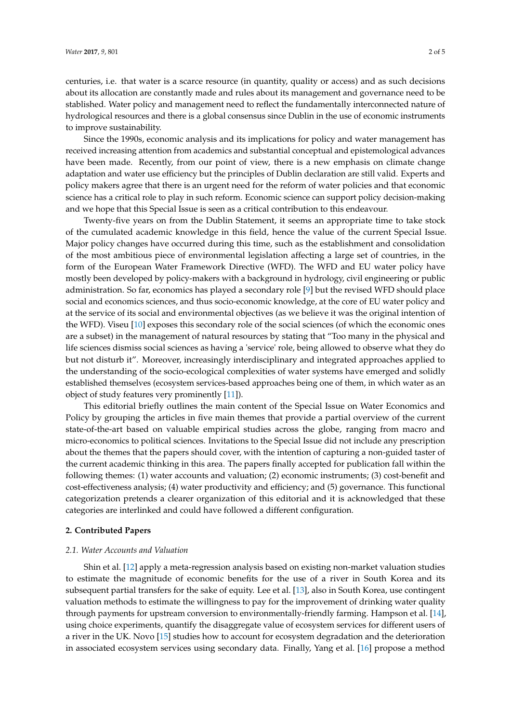centuries, i.e. that water is a scarce resource (in quantity, quality or access) and as such decisions about its allocation are constantly made and rules about its management and governance need to be stablished. Water policy and management need to reflect the fundamentally interconnected nature of hydrological resources and there is a global consensus since Dublin in the use of economic instruments to improve sustainability.

Since the 1990s, economic analysis and its implications for policy and water management has received increasing attention from academics and substantial conceptual and epistemological advances have been made. Recently, from our point of view, there is a new emphasis on climate change adaptation and water use efficiency but the principles of Dublin declaration are still valid. Experts and policy makers agree that there is an urgent need for the reform of water policies and that economic science has a critical role to play in such reform. Economic science can support policy decision-making and we hope that this Special Issue is seen as a critical contribution to this endeavour.

Twenty-five years on from the Dublin Statement, it seems an appropriate time to take stock of the cumulated academic knowledge in this field, hence the value of the current Special Issue. Major policy changes have occurred during this time, such as the establishment and consolidation of the most ambitious piece of environmental legislation affecting a large set of countries, in the form of the European Water Framework Directive (WFD). The WFD and EU water policy have mostly been developed by policy-makers with a background in hydrology, civil engineering or public administration. So far, economics has played a secondary role [\[9\]](#page-3-8) but the revised WFD should place social and economics sciences, and thus socio-economic knowledge, at the core of EU water policy and at the service of its social and environmental objectives (as we believe it was the original intention of the WFD). Viseu [\[10\]](#page-3-9) exposes this secondary role of the social sciences (of which the economic ones are a subset) in the management of natural resources by stating that "Too many in the physical and life sciences dismiss social sciences as having a 'service' role, being allowed to observe what they do but not disturb it". Moreover, increasingly interdisciplinary and integrated approaches applied to the understanding of the socio-ecological complexities of water systems have emerged and solidly established themselves (ecosystem services-based approaches being one of them, in which water as an object of study features very prominently [\[11\]](#page-3-10)).

This editorial briefly outlines the main content of the Special Issue on Water Economics and Policy by grouping the articles in five main themes that provide a partial overview of the current state-of-the-art based on valuable empirical studies across the globe, ranging from macro and micro-economics to political sciences. Invitations to the Special Issue did not include any prescription about the themes that the papers should cover, with the intention of capturing a non-guided taster of the current academic thinking in this area. The papers finally accepted for publication fall within the following themes: (1) water accounts and valuation; (2) economic instruments; (3) cost-benefit and cost-effectiveness analysis; (4) water productivity and efficiency; and (5) governance. This functional categorization pretends a clearer organization of this editorial and it is acknowledged that these categories are interlinked and could have followed a different configuration.

#### **2. Contributed Papers**

#### *2.1. Water Accounts and Valuation*

Shin et al. [\[12\]](#page-3-11) apply a meta-regression analysis based on existing non-market valuation studies to estimate the magnitude of economic benefits for the use of a river in South Korea and its subsequent partial transfers for the sake of equity. Lee et al. [\[13\]](#page-3-12), also in South Korea, use contingent valuation methods to estimate the willingness to pay for the improvement of drinking water quality through payments for upstream conversion to environmentally-friendly farming. Hampson et al. [\[14\]](#page-3-13), using choice experiments, quantify the disaggregate value of ecosystem services for different users of a river in the UK. Novo [\[15\]](#page-3-14) studies how to account for ecosystem degradation and the deterioration in associated ecosystem services using secondary data. Finally, Yang et al. [\[16\]](#page-3-15) propose a method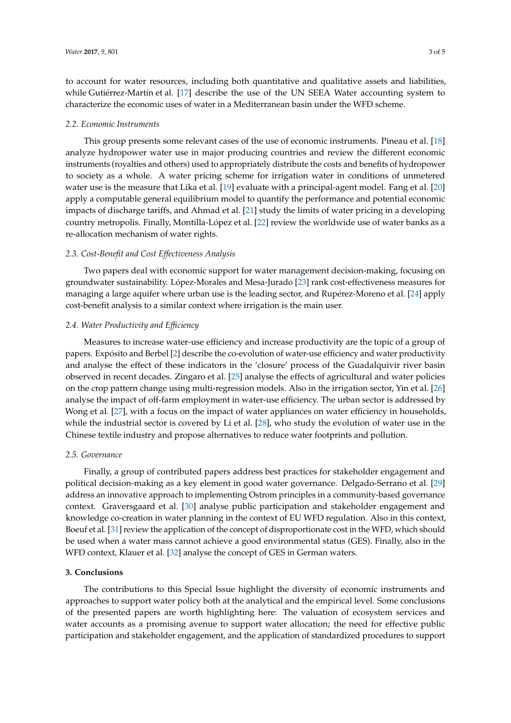to account for water resources, including both quantitative and qualitative assets and liabilities, while Gutiérrez-Martín et al. [\[17\]](#page-3-16) describe the use of the UN SEEA Water accounting system to characterize the economic uses of water in a Mediterranean basin under the WFD scheme.

#### *2.2. Economic Instruments*

This group presents some relevant cases of the use of economic instruments. Pineau et al. [\[18\]](#page-3-17) analyze hydropower water use in major producing countries and review the different economic instruments (royalties and others) used to appropriately distribute the costs and benefits of hydropower to society as a whole. A water pricing scheme for irrigation water in conditions of unmetered water use is the measure that Lika et al. [\[19\]](#page-3-18) evaluate with a principal-agent model. Fang et al. [\[20\]](#page-4-0) apply a computable general equilibrium model to quantify the performance and potential economic impacts of discharge tariffs, and Ahmad et al. [\[21\]](#page-4-1) study the limits of water pricing in a developing country metropolis. Finally, Montilla-López et al. [\[22\]](#page-4-2) review the worldwide use of water banks as a re-allocation mechanism of water rights.

#### *2.3. Cost-Benefit and Cost Effectiveness Analysis*

Two papers deal with economic support for water management decision-making, focusing on groundwater sustainability. López-Morales and Mesa-Jurado [\[23\]](#page-4-3) rank cost-effectiveness measures for managing a large aquifer where urban use is the leading sector, and Rupérez-Moreno et al. [\[24\]](#page-4-4) apply cost-benefit analysis to a similar context where irrigation is the main user.

#### *2.4. Water Productivity and Efficiency*

Measures to increase water-use efficiency and increase productivity are the topic of a group of papers. Expósito and Berbel [\[2\]](#page-3-1) describe the co-evolution of water-use efficiency and water productivity and analyse the effect of these indicators in the 'closure' process of the Guadalquivir river basin observed in recent decades. Zingaro et al. [\[25\]](#page-4-5) analyse the effects of agricultural and water policies on the crop pattern change using multi-regression models. Also in the irrigation sector, Yin et al. [\[26\]](#page-4-6) analyse the impact of off-farm employment in water-use efficiency. The urban sector is addressed by Wong et al. [\[27\]](#page-4-7), with a focus on the impact of water appliances on water efficiency in households, while the industrial sector is covered by Li et al. [\[28\]](#page-4-8), who study the evolution of water use in the Chinese textile industry and propose alternatives to reduce water footprints and pollution.

#### *2.5. Governance*

Finally, a group of contributed papers address best practices for stakeholder engagement and political decision-making as a key element in good water governance. Delgado-Serrano et al. [\[29\]](#page-4-9) address an innovative approach to implementing Ostrom principles in a community-based governance context. Graversgaard et al. [\[30\]](#page-4-10) analyse public participation and stakeholder engagement and knowledge co-creation in water planning in the context of EU WFD regulation. Also in this context, Boeuf et al. [\[31\]](#page-4-11) review the application of the concept of disproportionate cost in the WFD, which should be used when a water mass cannot achieve a good environmental status (GES). Finally, also in the WFD context, Klauer et al. [\[32\]](#page-4-12) analyse the concept of GES in German waters.

#### **3. Conclusions**

The contributions to this Special Issue highlight the diversity of economic instruments and approaches to support water policy both at the analytical and the empirical level. Some conclusions of the presented papers are worth highlighting here: The valuation of ecosystem services and water accounts as a promising avenue to support water allocation; the need for effective public participation and stakeholder engagement, and the application of standardized procedures to support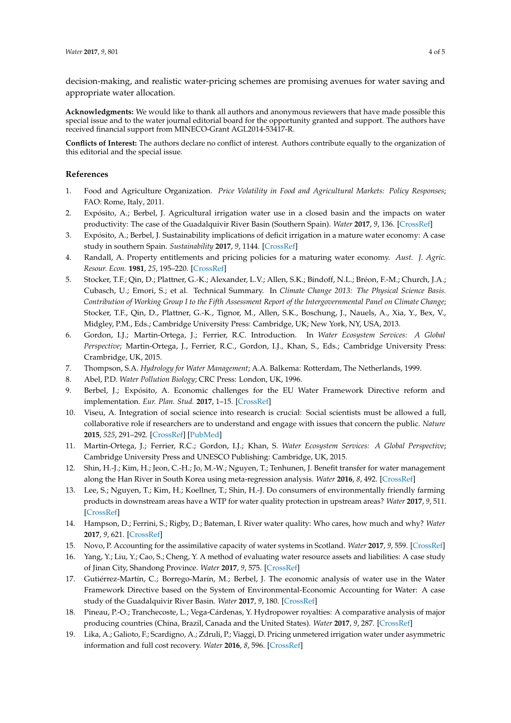decision-making, and realistic water-pricing schemes are promising avenues for water saving and appropriate water allocation.

**Acknowledgments:** We would like to thank all authors and anonymous reviewers that have made possible this special issue and to the water journal editorial board for the opportunity granted and support. The authors have received financial support from MINECO-Grant AGL2014-53417-R.

**Conflicts of Interest:** The authors declare no conflict of interest. Authors contribute equally to the organization of this editorial and the special issue.

### **References**

- <span id="page-3-0"></span>1. Food and Agriculture Organization. *Price Volatility in Food and Agricultural Markets: Policy Responses*; FAO: Rome, Italy, 2011.
- <span id="page-3-1"></span>2. Expósito, A.; Berbel, J. Agricultural irrigation water use in a closed basin and the impacts on water productivity: The case of the Guadalquivir River Basin (Southern Spain). *Water* **2017**, *9*, 136. [\[CrossRef\]](http://dx.doi.org/10.3390/w9020136)
- <span id="page-3-2"></span>3. Expósito, A.; Berbel, J. Sustainability implications of deficit irrigation in a mature water economy: A case study in southern Spain. *Sustainability* **2017**, *9*, 1144. [\[CrossRef\]](http://dx.doi.org/10.3390/su9071144)
- <span id="page-3-3"></span>4. Randall, A. Property entitlements and pricing policies for a maturing water economy. *Aust. J. Agric. Resour. Econ.* **1981**, *25*, 195–220. [\[CrossRef\]](http://dx.doi.org/10.1111/j.1467-8489.1981.tb00398.x)
- <span id="page-3-4"></span>5. Stocker, T.F.; Qin, D.; Plattner, G.-K.; Alexander, L.V.; Allen, S.K.; Bindoff, N.L.; Bréon, F.-M.; Church, J.A.; Cubasch, U.; Emori, S.; et al. Technical Summary. In *Climate Change 2013: The Physical Science Basis. Contribution of Working Group I to the Fifth Assessment Report of the Intergovernmental Panel on Climate Change*; Stocker, T.F., Qin, D., Plattner, G.-K., Tignor, M., Allen, S.K., Boschung, J., Nauels, A., Xia, Y., Bex, V., Midgley, P.M., Eds.; Cambridge University Press: Cambridge, UK; New York, NY, USA, 2013.
- <span id="page-3-5"></span>6. Gordon, I.J.; Martin-Ortega, J.; Ferrier, R.C. Introduction. In *Water Ecosystem Services: A Global Perspective*; Martin-Ortega, J., Ferrier, R.C., Gordon, I.J., Khan, S., Eds.; Cambridge University Press: Crambridge, UK, 2015.
- <span id="page-3-6"></span>7. Thompson, S.A. *Hydrology for Water Management*; A.A. Balkema: Rotterdam, The Netherlands, 1999.
- <span id="page-3-7"></span>8. Abel, P.D. *Water Pollution Biology*; CRC Press: London, UK, 1996.
- <span id="page-3-8"></span>9. Berbel, J.; Expósito, A. Economic challenges for the EU Water Framework Directive reform and implementation. *Eur. Plan. Stud.* **2017**, 1–15. [\[CrossRef\]](http://dx.doi.org/10.1080/09654313.2017.1364353)
- <span id="page-3-9"></span>10. Viseu, A. Integration of social science into research is crucial: Social scientists must be allowed a full, collaborative role if researchers are to understand and engage with issues that concern the public. *Nature* **2015**, *525*, 291–292. [\[CrossRef\]](http://dx.doi.org/10.1038/525291a) [\[PubMed\]](http://www.ncbi.nlm.nih.gov/pubmed/26381948)
- <span id="page-3-10"></span>11. Martin-Ortega, J.; Ferrier, R.C.; Gordon, I.J.; Khan, S. *Water Ecosystem Services: A Global Perspective*; Cambridge University Press and UNESCO Publishing: Cambridge, UK, 2015.
- <span id="page-3-11"></span>12. Shin, H.-J.; Kim, H.; Jeon, C.-H.; Jo, M.-W.; Nguyen, T.; Tenhunen, J. Benefit transfer for water management along the Han River in South Korea using meta-regression analysis. *Water* **2016**, *8*, 492. [\[CrossRef\]](http://dx.doi.org/10.3390/w8110492)
- <span id="page-3-12"></span>13. Lee, S.; Nguyen, T.; Kim, H.; Koellner, T.; Shin, H.-J. Do consumers of environmentally friendly farming products in downstream areas have a WTP for water quality protection in upstream areas? *Water* **2017**, *9*, 511. [\[CrossRef\]](http://dx.doi.org/10.3390/w9070511)
- <span id="page-3-13"></span>14. Hampson, D.; Ferrini, S.; Rigby, D.; Bateman, I. River water quality: Who cares, how much and why? *Water* **2017**, *9*, 621. [\[CrossRef\]](http://dx.doi.org/10.3390/w9080621)
- <span id="page-3-14"></span>15. Novo, P. Accounting for the assimilative capacity of water systems in Scotland. *Water* **2017**, *9*, 559. [\[CrossRef\]](http://dx.doi.org/10.3390/w9080559)
- <span id="page-3-15"></span>16. Yang, Y.; Liu, Y.; Cao, S.; Cheng, Y. A method of evaluating water resource assets and liabilities: A case study of Jinan City, Shandong Province. *Water* **2017**, *9*, 575. [\[CrossRef\]](http://dx.doi.org/10.3390/w9080575)
- <span id="page-3-16"></span>17. Gutiérrez-Martín, C.; Borrego-Marín, M.; Berbel, J. The economic analysis of water use in the Water Framework Directive based on the System of Environmental-Economic Accounting for Water: A case study of the Guadalquivir River Basin. *Water* **2017**, *9*, 180. [\[CrossRef\]](http://dx.doi.org/10.3390/w9030180)
- <span id="page-3-17"></span>18. Pineau, P.-O.; Tranchecoste, L.; Vega-Cárdenas, Y. Hydropower royalties: A comparative analysis of major producing countries (China, Brazil, Canada and the United States). *Water* **2017**, *9*, 287. [\[CrossRef\]](http://dx.doi.org/10.3390/w9040287)
- <span id="page-3-18"></span>19. Lika, A.; Galioto, F.; Scardigno, A.; Zdruli, P.; Viaggi, D. Pricing unmetered irrigation water under asymmetric information and full cost recovery. *Water* **2016**, *8*, 596. [\[CrossRef\]](http://dx.doi.org/10.3390/w8120596)